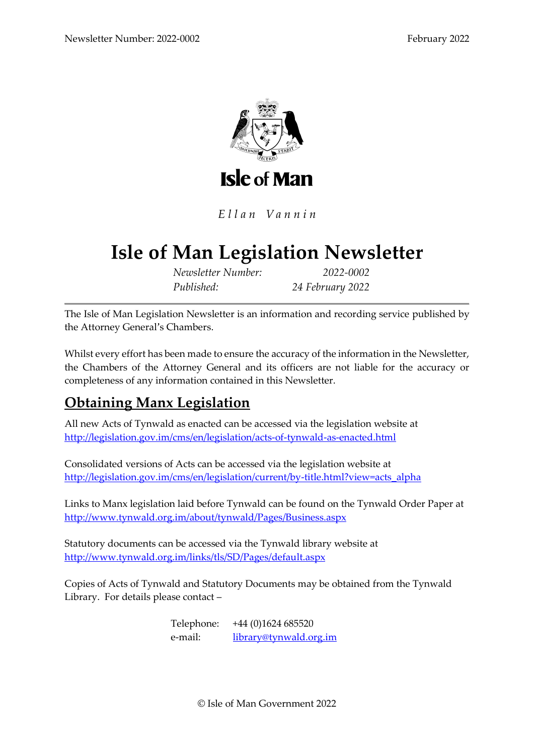

Ellan Vannin

# **Isle of Man Legislation Newsletter**

*Newsletter Number: 2022-0002 Published: 24 February 2022*

The Isle of Man Legislation Newsletter is an information and recording service published by the Attorney General's Chambers.

Whilst every effort has been made to ensure the accuracy of the information in the Newsletter, the Chambers of the Attorney General and its officers are not liable for the accuracy or completeness of any information contained in this Newsletter.

# **Obtaining Manx Legislation**

All new Acts of Tynwald as enacted can be accessed via the legislation website at <http://legislation.gov.im/cms/en/legislation/acts-of-tynwald-as-enacted.html>

Consolidated versions of Acts can be accessed via the legislation website at [http://legislation.gov.im/cms/en/legislation/current/by-title.html?view=acts\\_alpha](http://legislation.gov.im/cms/en/legislation/current/by-title.html?view=acts_alpha)

Links to Manx legislation laid before Tynwald can be found on the Tynwald Order Paper at <http://www.tynwald.org.im/about/tynwald/Pages/Business.aspx>

Statutory documents can be accessed via the Tynwald library website at <http://www.tynwald.org.im/links/tls/SD/Pages/default.aspx>

Copies of Acts of Tynwald and Statutory Documents may be obtained from the Tynwald Library. For details please contact –

> Telephone: +44 (0)1624 685520 e-mail: [library@tynwald.org.im](mailto:library@tynwald.org.im)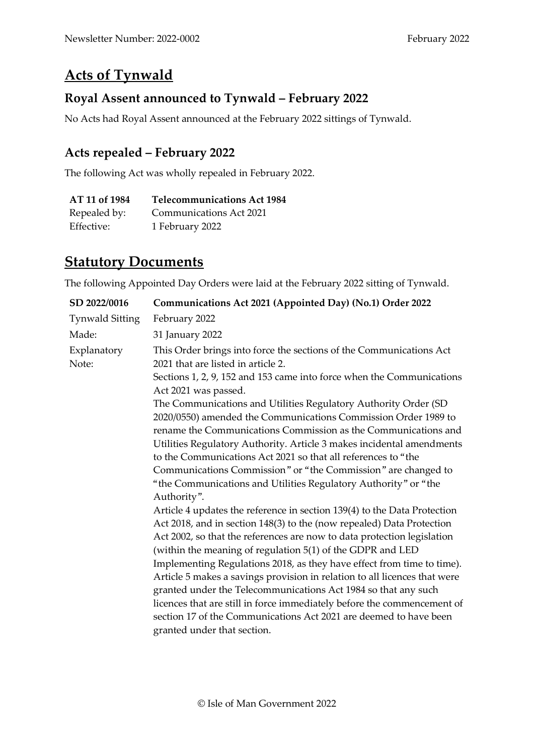## **Acts of Tynwald**

#### **Royal Assent announced to Tynwald – February 2022**

No Acts had Royal Assent announced at the February 2022 sittings of Tynwald.

#### **Acts repealed – February 2022**

The following Act was wholly repealed in February 2022.

| AT 11 of 1984 | <b>Telecommunications Act 1984</b> |
|---------------|------------------------------------|
| Repealed by:  | Communications Act 2021            |
| Effective:    | 1 February 2022                    |

#### **Statutory Documents**

The following Appointed Day Orders were laid at the February 2022 sitting of Tynwald.

| SD 2022/0016           | Communications Act 2021 (Appointed Day) (No.1) Order 2022                                                                                                                                                                                                                                                                                                                                                                                                                                                                                                                                                                                                                                                                                                                                                                                                                                                                                                                                                                                                                                                                                                                                              |  |  |
|------------------------|--------------------------------------------------------------------------------------------------------------------------------------------------------------------------------------------------------------------------------------------------------------------------------------------------------------------------------------------------------------------------------------------------------------------------------------------------------------------------------------------------------------------------------------------------------------------------------------------------------------------------------------------------------------------------------------------------------------------------------------------------------------------------------------------------------------------------------------------------------------------------------------------------------------------------------------------------------------------------------------------------------------------------------------------------------------------------------------------------------------------------------------------------------------------------------------------------------|--|--|
| <b>Tynwald Sitting</b> | February 2022                                                                                                                                                                                                                                                                                                                                                                                                                                                                                                                                                                                                                                                                                                                                                                                                                                                                                                                                                                                                                                                                                                                                                                                          |  |  |
| Made:                  | 31 January 2022                                                                                                                                                                                                                                                                                                                                                                                                                                                                                                                                                                                                                                                                                                                                                                                                                                                                                                                                                                                                                                                                                                                                                                                        |  |  |
| Explanatory<br>Note:   | This Order brings into force the sections of the Communications Act<br>2021 that are listed in article 2.                                                                                                                                                                                                                                                                                                                                                                                                                                                                                                                                                                                                                                                                                                                                                                                                                                                                                                                                                                                                                                                                                              |  |  |
|                        | Sections 1, 2, 9, 152 and 153 came into force when the Communications<br>Act 2021 was passed.                                                                                                                                                                                                                                                                                                                                                                                                                                                                                                                                                                                                                                                                                                                                                                                                                                                                                                                                                                                                                                                                                                          |  |  |
|                        | The Communications and Utilities Regulatory Authority Order (SD<br>2020/0550) amended the Communications Commission Order 1989 to<br>rename the Communications Commission as the Communications and<br>Utilities Regulatory Authority. Article 3 makes incidental amendments<br>to the Communications Act 2021 so that all references to "the<br>Communications Commission" or "the Commission" are changed to<br>"the Communications and Utilities Regulatory Authority" or "the<br>Authority".<br>Article 4 updates the reference in section 139(4) to the Data Protection<br>Act 2018, and in section 148(3) to the (now repealed) Data Protection<br>Act 2002, so that the references are now to data protection legislation<br>(within the meaning of regulation 5(1) of the GDPR and LED<br>Implementing Regulations 2018, as they have effect from time to time).<br>Article 5 makes a savings provision in relation to all licences that were<br>granted under the Telecommunications Act 1984 so that any such<br>licences that are still in force immediately before the commencement of<br>section 17 of the Communications Act 2021 are deemed to have been<br>granted under that section. |  |  |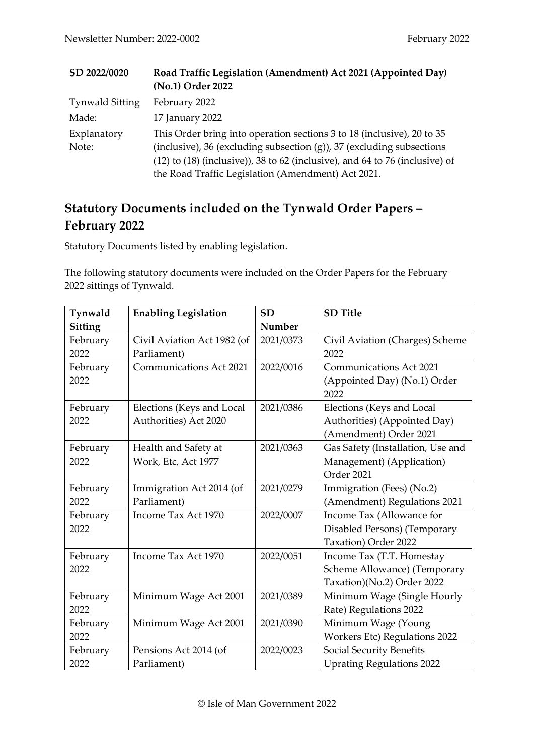| SD 2022/0020           | Road Traffic Legislation (Amendment) Act 2021 (Appointed Day)<br>(No.1) Order 2022                                                                                                                                                                                                           |
|------------------------|----------------------------------------------------------------------------------------------------------------------------------------------------------------------------------------------------------------------------------------------------------------------------------------------|
| <b>Tynwald Sitting</b> | February 2022                                                                                                                                                                                                                                                                                |
| Made:                  | 17 January 2022                                                                                                                                                                                                                                                                              |
| Explanatory<br>Note:   | This Order bring into operation sections 3 to 18 (inclusive), 20 to 35<br>(inclusive), 36 (excluding subsection $(g)$ ), 37 (excluding subsections<br>$(12)$ to $(18)$ (inclusive)), 38 to 62 (inclusive), and 64 to 76 (inclusive) of<br>the Road Traffic Legislation (Amendment) Act 2021. |

## **Statutory Documents included on the Tynwald Order Papers – February 2022**

Statutory Documents listed by enabling legislation.

The following statutory documents were included on the Order Papers for the February 2022 sittings of Tynwald.

| Tynwald  | <b>Enabling Legislation</b>    | <b>SD</b> | <b>SD</b> Title                      |
|----------|--------------------------------|-----------|--------------------------------------|
| Sitting  |                                | Number    |                                      |
| February | Civil Aviation Act 1982 (of    | 2021/0373 | Civil Aviation (Charges) Scheme      |
| 2022     | Parliament)                    |           | 2022                                 |
| February | <b>Communications Act 2021</b> | 2022/0016 | <b>Communications Act 2021</b>       |
| 2022     |                                |           | (Appointed Day) (No.1) Order<br>2022 |
| February | Elections (Keys and Local      | 2021/0386 | Elections (Keys and Local            |
| 2022     | Authorities) Act 2020          |           | Authorities) (Appointed Day)         |
|          |                                |           | (Amendment) Order 2021               |
| February | Health and Safety at           | 2021/0363 | Gas Safety (Installation, Use and    |
| 2022     | Work, Etc, Act 1977            |           | Management) (Application)            |
|          |                                |           | Order 2021                           |
| February | Immigration Act 2014 (of       | 2021/0279 | Immigration (Fees) (No.2)            |
| 2022     | Parliament)                    |           | (Amendment) Regulations 2021         |
| February | Income Tax Act 1970            | 2022/0007 | Income Tax (Allowance for            |
| 2022     |                                |           | Disabled Persons) (Temporary         |
|          |                                |           | Taxation) Order 2022                 |
| February | Income Tax Act 1970            | 2022/0051 | Income Tax (T.T. Homestay            |
| 2022     |                                |           | Scheme Allowance) (Temporary         |
|          |                                |           | Taxation)(No.2) Order 2022           |
| February | Minimum Wage Act 2001          | 2021/0389 | Minimum Wage (Single Hourly          |
| 2022     |                                |           | Rate) Regulations 2022               |
| February | Minimum Wage Act 2001          | 2021/0390 | Minimum Wage (Young                  |
| 2022     |                                |           | <b>Workers Etc) Regulations 2022</b> |
| February | Pensions Act 2014 (of          | 2022/0023 | Social Security Benefits             |
| 2022     | Parliament)                    |           | <b>Uprating Regulations 2022</b>     |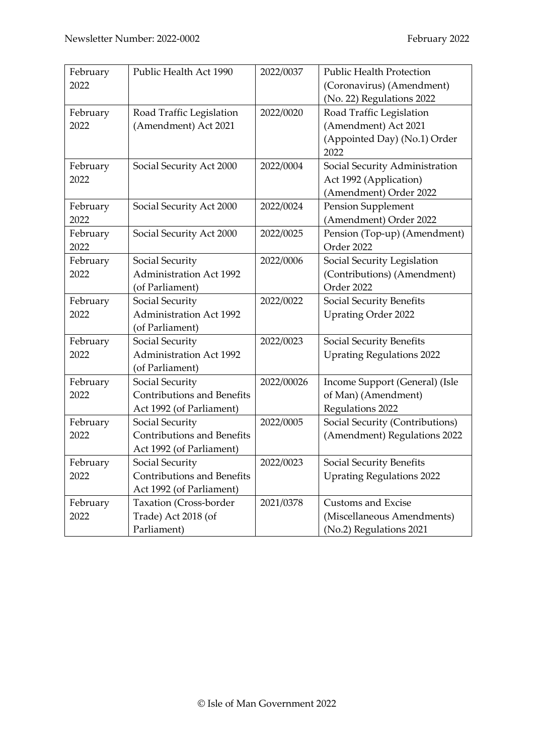| February | Public Health Act 1990            | 2022/0037  | <b>Public Health Protection</b>  |
|----------|-----------------------------------|------------|----------------------------------|
| 2022     |                                   |            | (Coronavirus) (Amendment)        |
|          |                                   |            | (No. 22) Regulations 2022        |
| February | Road Traffic Legislation          | 2022/0020  | Road Traffic Legislation         |
| 2022     | (Amendment) Act 2021              |            | (Amendment) Act 2021             |
|          |                                   |            | (Appointed Day) (No.1) Order     |
|          |                                   |            | 2022                             |
| February | Social Security Act 2000          | 2022/0004  | Social Security Administration   |
| 2022     |                                   |            | Act 1992 (Application)           |
|          |                                   |            | (Amendment) Order 2022           |
| February | Social Security Act 2000          | 2022/0024  | Pension Supplement               |
| 2022     |                                   |            | (Amendment) Order 2022           |
| February | Social Security Act 2000          | 2022/0025  | Pension (Top-up) (Amendment)     |
| 2022     |                                   |            | Order 2022                       |
| February | Social Security                   | 2022/0006  | Social Security Legislation      |
| 2022     | <b>Administration Act 1992</b>    |            | (Contributions) (Amendment)      |
|          | (of Parliament)                   |            | Order 2022                       |
| February | Social Security                   | 2022/0022  | Social Security Benefits         |
| 2022     | <b>Administration Act 1992</b>    |            | <b>Uprating Order 2022</b>       |
|          | (of Parliament)                   |            |                                  |
| February | Social Security                   | 2022/0023  | Social Security Benefits         |
| 2022     | <b>Administration Act 1992</b>    |            | <b>Uprating Regulations 2022</b> |
|          | (of Parliament)                   |            |                                  |
| February | Social Security                   | 2022/00026 | Income Support (General) (Isle   |
| 2022     | <b>Contributions and Benefits</b> |            | of Man) (Amendment)              |
|          | Act 1992 (of Parliament)          |            | Regulations 2022                 |
| February | Social Security                   | 2022/0005  | Social Security (Contributions)  |
| 2022     | <b>Contributions and Benefits</b> |            | (Amendment) Regulations 2022     |
|          | Act 1992 (of Parliament)          |            |                                  |
| February | Social Security                   | 2022/0023  | Social Security Benefits         |
| 2022     | Contributions and Benefits        |            | <b>Uprating Regulations 2022</b> |
|          | Act 1992 (of Parliament)          |            |                                  |
| February | <b>Taxation</b> (Cross-border     | 2021/0378  | <b>Customs and Excise</b>        |
| 2022     | Trade) Act 2018 (of               |            | (Miscellaneous Amendments)       |
|          | Parliament)                       |            | (No.2) Regulations 2021          |